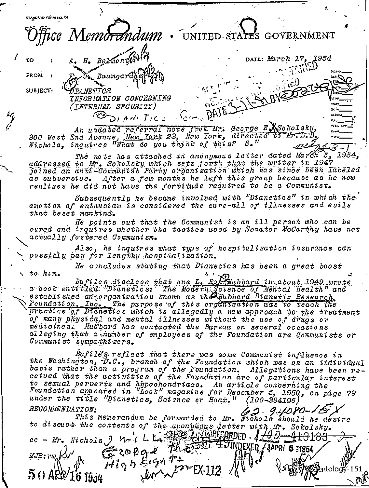STANDARD FORM NO. 64 fice Memo<del>rá</del>ndum UNITED STATES GOVERNMENT  $H.$  Bermont (14) DATE: March 17, 1954 TO FROM Baumgardj SUBJECT: **ĎFANETICS** INFORMATION CONCERNING (INTERNAL SECURITY) ODIANCTICS COM DATE An undated referral note from Mr. George E. Nobolsky, 300 West End Avenue, New York 23, New York, directed to Ur.L.B.<br>Nichols, inquires "What do you think of this? S."

The note has attached an anonymous letter dated March 5, 1954, addressed to Mr. Sokolsky which sets forth that the writer in 1947 *joined an anti-Communist Party organization which has since been labeled* as subversive. After a few months he left this group because as he now. realizes he did not have the fortitude required to be a Communist.

Subsequently he became involved with "Dianetics" in which the emotion of enthusiam is considered the cure-all of illnesses and evils that beset mankind.

He points out that the Communist is an ill person who can be cured and inquires whether the tactics used by Senator McCarthy have not actually fostered Communism.

Also, he inquires what type of hospitalization insurance can possibly pay for lengthy hospitalization.

He concludes stating that Dianetics has been a great boost to  $him$ .

Bufiles disclose that one L. Ron-Hubbard in about 1949 wrote a book entitled. "Dianetics: The Modern Science of Mental Health" and<br>established antorganization known as the Hubbard Dianetic Research Foundation, Inc. The purpose of this organization was to teach the practice of Dianetics which is allegedly a new approach to the treatment of many physical and mental illnesses without the use of drugs or medicines. Hubbard has contacted the Bureau on several occasions alleging that a number of employees of the Foundation are Communists or Communist sympathizers.

Bufiles reflect that there was some Communist influence in<br>the Washington, D.C., branch of the Foundation which was on an individual basis rather than a program of the Foundation. Allegations have been re-<br>ceived that the activities of the Foundation are of particular interest to sexual perverts and hypochondriacs. An article concerning the<br>Foundation appeared in "Look" magazine for December 5, 1950, on page 79 under the title "Dianetics, Science or Hoax."  $(100 - 384196)$ RECOMMENDATION: 2-94080-160 This memorandum be forwarded to Mr. Wichols should be desire

to discuss the contents of the anonymous letter with Mr. Sokolsky.<br>co - Mr. Nichols 9  $\mu$  L L. S. GRECORDED 1/0183-410183-Groege Mest 40 MORKED (400 - 4101) MJR:rw Ku  $22 - 21$ ntologÿ-151 ARP/16 1934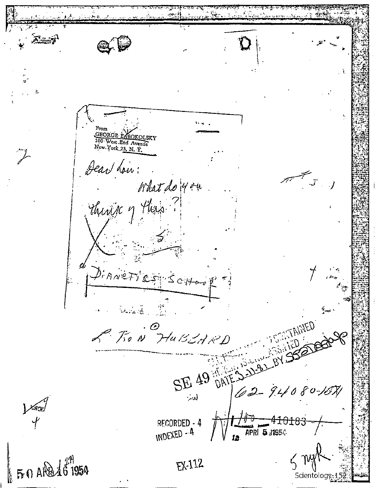Az 7 Ĉ GEORGE EXSOKOLSKY 300 West End Avenue Dear how: What do 40 m Thirty 7 Has ? PIANETICS SCHOOL WARE S **STANIED** SE 49 DATES JUSTICE OF BY P. T.O. N. HUBEARD XNO3/<br>Y  $\frac{1}{4}$ <br> $\frac{1}{4}$ <br> $\frac{1}{4}$ <br> $\frac{1}{4}$ <br> $\frac{1}{4}$ <br> $\frac{1}{4}$ <br> $\frac{1}{4}$ <br> $\frac{1}{4}$ <br> $\frac{1}{4}$ <br> $\frac{1}{4}$ <br><br> $\frac{1}{4}$ <br><br><br><br><br><br><br><br><br><br><br><br><br><br><br><br><br><br><br><br><br><br><br><br> RECORDED - 4 INDEXED - 4  $6.64816^{21}$ EX-112 Scientology-1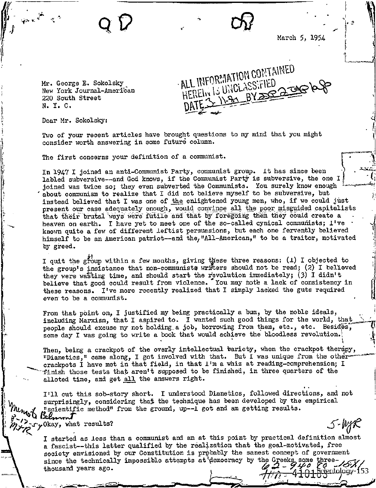March 5, 1954

 $\mathbf{r}$ 

5-MAR

Mr. George E. Sokolsky, New York Journal-Ameriban 220 South Street N. Y. C.

· ALL INFURNATION WAED HERELY IS UNCLASSIFIED  $\overline{a}$ 

09

Dear Mr. Sokolsky:

Two of your recent articles have brought questions to my mind that you might consider worth answering in some future column.

The first concerns your definition of a communist.

In 1947 I joined an anti-Communist Party, communist group. It has since been labled subversive--and God knows, if the Communist Party is subversive, the one I joined was twice so; they even subverted the Communists. You surely know enough about communism to realize that I did not believe myself to be subversive, but instead believed that I was one of the enlightened young men, who, if we could just present our case adequately enough, would convince all the poor misguided capitalists that their brutal ways were futile and that by foregoing them they could create a heaven on earth. I have yet to meet one of the so-called cynical communists; I've known quite a few of different leftist persuasions, but each one fervently believed himself to be an American patriot--and the, "All-American," to be a traitor, motivated by greed.

I quit the group within a few months, giving these three reasons: (1) I objected to the group's insistance that non-communists writers should not be read; (2) I believed they were wasting time, and should start the revolution immediately; (3) I didn't believe that good could result from violence. You may note a lack of consistency in these reasons. I've more recently realized that I simply lacked the guts required even to be a communist.

From that point on, I justified my being practically a bum, by the noble ideals, including Marxism, that I aspired to. I wanted such good things for the world, that people should excuse my not holding a job, borrowing from them, etc., etc. Besides, some day I was going to write a book that would achieve the bloodless revolution.

Then, being a crackpot of the overly intellectual bariety, when the crackpot therapy, "Dianetics," came along, I got involved with that. But I was unique from the othercrackpots I have met in that field, in that I'm a whiz at reading-comprehension; I -finish those tests that aren't supposed to be finished, in three quarters of the alloted time, and get all the answers right.

I'll cut this sob-story short. I understood Dianetics, followed directions, and not surprisingly, considering that the technique has been developed by the empirical "scientific method" from the ground, up--1 got and am getting results. Belmont

I> Okay, what results?

> I started as less than a communist and am at this point by practical definition almost a fascist--this latter qualified by the realization that the goal-motivated, free society envisioned by our Constitution is probably the sanest concept of government since the technically impossible attempts at democracy by the Greeks some three-<br>thousand years ago.<br> $\mathcal{L} = \{1, 2, \ldots, n\}$  $\#$  $\alpha$  - 41018 sentology 153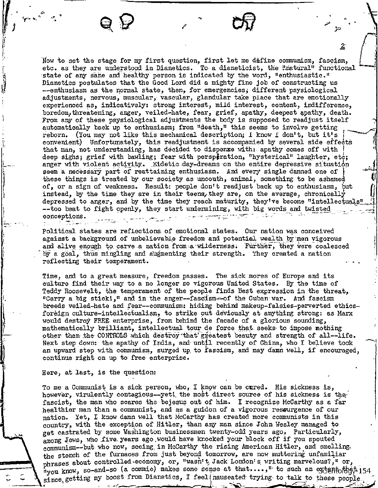Now to set the stage for my first question, first let me define communism, fascism, etc. as they are understood in Dianetics. To a dianeticist, the Rnatural" functional state of any sane and healthy person is indicated by the word, "enthusiastic." Dianetics postulates that the Good Lord did a mighty fine job of constructing us --enthusiasm as the normal state, then, for emergencies; different psysiological adjustments, nervous, muscular, vascular, glandular take place that are emotionally experienced as, indicatively: strong interest, mild interest, content, indifference, boredom/threatening, anger, veiled-hate, fear, grief, apathy, deepest apathy, death. From any of these psysiological adjustments the body is supposed to readjust itself automatically back up to enthusiasm; from "death," this seems to involve getting reborn. (You may not like this mechanical description; I know I don't, but it's convenient) Unfortunately, this readjustment is accompanied by several side effecta that man, not understanding, has decided to dispense with: apathy comes off with 1 deep sighs; grief with bawling; fear with perspiration, "hysterical" laughter, etc; anger with violent activity. Eidetic day-dreams on the entire depressive situation seem a necessary part of reattaining enthusiasm. And every single damned one of these things is treated by our society as uncouth, animal, something to be ashamed of, or a sign of weakness. Result: people don't readjust back up to enthusiasm, but instead, by the time they are in their teens, they are, on the average, chronically depressed to anger, and by the time they reach maturity, they've become "intellectuals" --too beat to fight openly, they start undermining, with big words and twisted conceptions. \_

2

 $\mathcal{E}$ 

Political states are reflections of emotional states. Our nation was conceived against a background of unbelievable freedom and potential wealth by men vigorous and alive enough to carve a nation from a wilderness. Further, they were coalesced by a goal, thus mingling and augmenting their strength. They created a nation reflecting their temperament.

Time, and to a great measure, freedom passes. The sick mores of Europe and its culture find their way to a no longer so vigorous United States. By the time of Teddy Roosevelt, the temperament of the people finds hest expression in the threat, "Carry a big stick!," and in the anger—fascism--of the Cuban war. And fascism breeds veiled-hate and fear--communism: hiding behind makeup -falsies -perverted ethicsforeign culture-intellectualism, to strike out deviously at anything strong: as Marx would destroy FREE enterprise, from behind the facade of a glorious sounding, mathematically brilliant, intellectual tour de force that seeks to impose nothing other than the CONTROLS which destroy that greatest beauty and strength of all-life. Next step down: the apathy of India, and until recently of China, who I believe took an upward step with communism, surged up, to fascism, and may damn well, if encouraged, continue right on up to free enterprise.

Here, at last, is the question:

To me a Communist is a sick person, who, I know can be cured. His sickness is, however, virulently contagious--yet! the most direct source of his sickness is thefascist, the man who scares the bejesus out of him. I recognize McCarthy as a far healthier man than a communist, and as a guidon of a vigorous resourgence of our nation. Yet, I know damn well that McCarthy has created more communists in this country, with the exception of Hitler, than any man since John Wesley managed to get castrated by some Washington businessmen twenty-odd years ago. Particularly, among Jews, who five years ago would have knocked your block off if you spouted communism--but who now, seeing, in McCarthy the rising American Hitler, and smelling. the stench of the furnaces from just beyond tomorrow, are now muttering unfamiliar phrases about controlled-economy, or, "wasn't, Jack Lordon's writing marvelous?," or, "you know, so-and-so (a commie) makes some sense at that....," to such an extentorboth 154 since, getting my boost from Dianetics,  $I$  feel (nauseated trying to talk to these people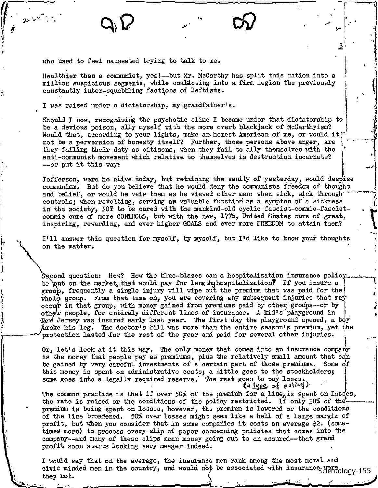who used to feel nauseated trying to talk to me.

Healthier than a communist, yes!--but Mr. McCarthy has split this nation into a million suspicious segments, while coald csing into a firm legion the previously constantly inter-squabbling factions of leftists.

I was raised' under a dictatorship, my grandfather's.

Should I now, recognising the psychotic slime I became under that dictatorship to be a devious poison, ally myself with the more overt blackjack of McCarthyism? Would that, according to your lights, make an honest American of me, or would it! not be a perversion of honesty itself? Further, those persons above anger, are they failing their duty as citizens, when they fail to ally themselves with the anti-communist movement which relative to themselves is destruction incarnate? --or put it this way:

Jefferson, were he alive. today, but retaining the sanity of yesterday, would despise communism. But do you believe that he would deny the communists freedom of thought and belief, or would he veiw them as he viewed other men: when sick, sick through controls; when revolting, serving an valuable function as a sympton of a sickness in the society, NOT to be cured with the mankind-old cyclic fascist-commie-fascistcommie cure of more CONTROLS, but with the new, 1776, United States cure of great, inspiring, rewarding) and ever higher GOALS and ever more FREEDOM to attain them?

I'll answer this question for myself, by myself, but I'd like to know your thoughts on the matter.

Second question: How? How the blue-blazes can a hospitalization insurance policy be put on the market, that would pay for lengthy hospitalization? If you insure a group, frequently a single injury will wipe out the premium that was paid for the whole group. From that time on, you are covering any subsequent injuries that may occur in that group, with money gained from premiums paid by other groups--or by other people, for entirely different lines of insurance. A kid's phayground in broke his leg. The doctor's bill was more than the entire season's premium, yet protection lasted for the rest of the year and paid for several other injuries. New Jersey was insured early last year. The first day the playground opened, a boy  $h$ roke his leg. The doctor's bill was more than the entire season's premium, yet the

**4** 

Or, let's look at it this way. The only money that comes into an insurance company is the money that people pay as premiums, plus the relatively small amount that can be gained by very careful investments of a certain part of those premiums. Some of this money is spent on administrative costs; a little goes to the stockholders; some goes into a legally required reserve.' The rest goes to pay loses. ta type of policy)

The common practice is that if over  $50\%$  of the premium for a line<sub>A</sub>is spent on losses, the rate is raised or the conditions of the policy restricted. If only 30% of the premium is being spent on losses, however, the premium is lowered or the conditions of the line broadened. 50% over losses might seem like a hell of a large margin of profit, but when you consider that in some companies it costs an average \$2. (sometimes more) to process every slip of paper concerning policies that comes into the company--and many of these slips mean money going out to an assured--that grand profit soon starts looking very meager indeed.

I would say that on the average) the insurance men rank among the most moral and civic minded men in the country, and would not be associated with insurance Here ology-155 they not.